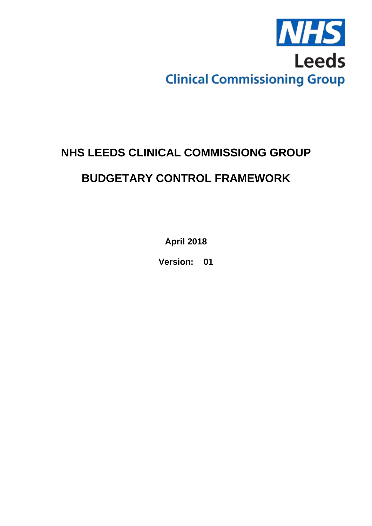

# **NHS LEEDS CLINICAL COMMISSIONG GROUP**

# **BUDGETARY CONTROL FRAMEWORK**

**April 2018**

**Version: 01**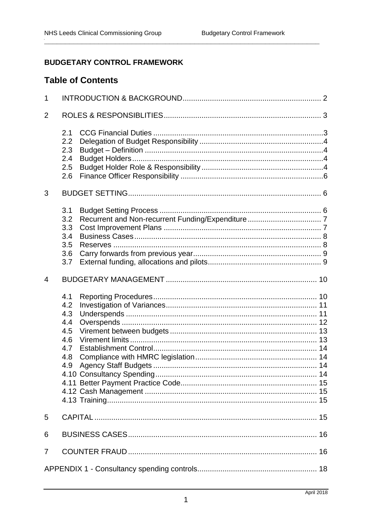## **BUDGETARY CONTROL FRAMEWORK**

## **Table of Contents**

| $\mathbf 1$    |                                                             |  |  |
|----------------|-------------------------------------------------------------|--|--|
| $\overline{2}$ |                                                             |  |  |
|                | 2.1<br>2.2<br>2.3<br>2.4<br>2.5<br>2.6                      |  |  |
| 3              |                                                             |  |  |
|                | 3.1<br>3.2<br>3.3<br>3.4<br>3.5<br>3.6<br>3.7               |  |  |
| $\overline{4}$ |                                                             |  |  |
|                | 4.1<br>4.2<br>4.3<br>4.4<br>4.5<br>4.6<br>4.7<br>4.8<br>4.9 |  |  |
| 5              |                                                             |  |  |
| 6              |                                                             |  |  |
| 7              | 16                                                          |  |  |
|                |                                                             |  |  |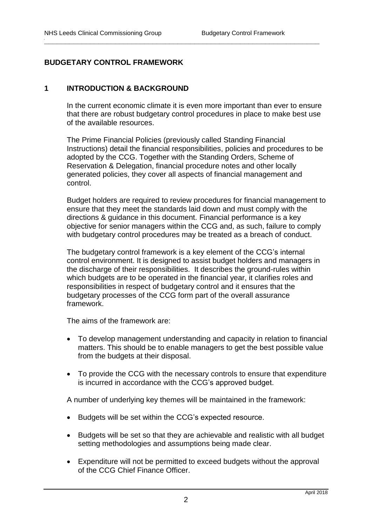## **BUDGETARY CONTROL FRAMEWORK**

## <span id="page-2-0"></span>**1 INTRODUCTION & BACKGROUND**

In the current economic climate it is even more important than ever to ensure that there are robust budgetary control procedures in place to make best use of the available resources.

**\_\_\_\_\_\_\_\_\_\_\_\_\_\_\_\_\_\_\_\_\_\_\_\_\_\_\_\_\_\_\_\_\_\_\_\_\_\_\_\_\_\_\_\_\_\_\_\_\_\_\_\_\_\_\_\_\_\_\_\_\_\_\_\_\_\_**

The Prime Financial Policies (previously called Standing Financial Instructions) detail the financial responsibilities, policies and procedures to be adopted by the CCG. Together with the Standing Orders, Scheme of Reservation & Delegation, financial procedure notes and other locally generated policies, they cover all aspects of financial management and control.

Budget holders are required to review procedures for financial management to ensure that they meet the standards laid down and must comply with the directions & guidance in this document. Financial performance is a key objective for senior managers within the CCG and, as such, failure to comply with budgetary control procedures may be treated as a breach of conduct.

The budgetary control framework is a key element of the CCG's internal control environment. It is designed to assist budget holders and managers in the discharge of their responsibilities. It describes the ground-rules within which budgets are to be operated in the financial year, it clarifies roles and responsibilities in respect of budgetary control and it ensures that the budgetary processes of the CCG form part of the overall assurance framework.

The aims of the framework are:

- To develop management understanding and capacity in relation to financial matters. This should be to enable managers to get the best possible value from the budgets at their disposal.
- To provide the CCG with the necessary controls to ensure that expenditure is incurred in accordance with the CCG's approved budget.

A number of underlying key themes will be maintained in the framework:

- Budgets will be set within the CCG's expected resource.
- Budgets will be set so that they are achievable and realistic with all budget setting methodologies and assumptions being made clear.
- Expenditure will not be permitted to exceed budgets without the approval of the CCG Chief Finance Officer.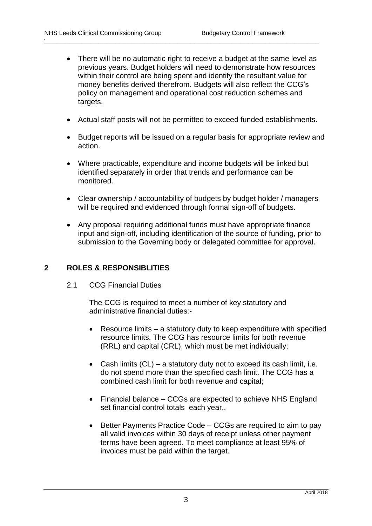• There will be no automatic right to receive a budget at the same level as previous years. Budget holders will need to demonstrate how resources within their control are being spent and identify the resultant value for money benefits derived therefrom. Budgets will also reflect the CCG's policy on management and operational cost reduction schemes and targets.

**\_\_\_\_\_\_\_\_\_\_\_\_\_\_\_\_\_\_\_\_\_\_\_\_\_\_\_\_\_\_\_\_\_\_\_\_\_\_\_\_\_\_\_\_\_\_\_\_\_\_\_\_\_\_\_\_\_\_\_\_\_\_\_\_\_\_**

- Actual staff posts will not be permitted to exceed funded establishments.
- Budget reports will be issued on a regular basis for appropriate review and action.
- Where practicable, expenditure and income budgets will be linked but identified separately in order that trends and performance can be monitored.
- Clear ownership / accountability of budgets by budget holder / managers will be required and evidenced through formal sign-off of budgets.
- Any proposal requiring additional funds must have appropriate finance input and sign-off, including identification of the source of funding, prior to submission to the Governing body or delegated committee for approval.

## <span id="page-3-0"></span>**2 ROLES & RESPONSIBLITIES**

<span id="page-3-1"></span>2.1 CCG Financial Duties

The CCG is required to meet a number of key statutory and administrative financial duties:-

- Resource limits a statutory duty to keep expenditure with specified resource limits. The CCG has resource limits for both revenue (RRL) and capital (CRL), which must be met individually;
- Cash limits  $(CL)$  a statutory duty not to exceed its cash limit, i.e. do not spend more than the specified cash limit. The CCG has a combined cash limit for both revenue and capital;
- Financial balance CCGs are expected to achieve NHS England set financial control totals each year,.
- Better Payments Practice Code CCGs are required to aim to pay all valid invoices within 30 days of receipt unless other payment terms have been agreed. To meet compliance at least 95% of invoices must be paid within the target.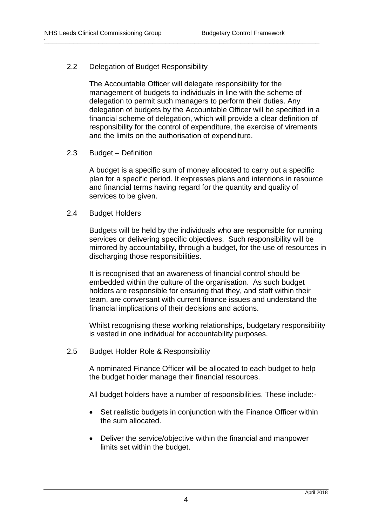## <span id="page-4-0"></span>2.2 Delegation of Budget Responsibility

The Accountable Officer will delegate responsibility for the management of budgets to individuals in line with the scheme of delegation to permit such managers to perform their duties. Any delegation of budgets by the Accountable Officer will be specified in a financial scheme of delegation, which will provide a clear definition of responsibility for the control of expenditure, the exercise of virements and the limits on the authorisation of expenditure.

**\_\_\_\_\_\_\_\_\_\_\_\_\_\_\_\_\_\_\_\_\_\_\_\_\_\_\_\_\_\_\_\_\_\_\_\_\_\_\_\_\_\_\_\_\_\_\_\_\_\_\_\_\_\_\_\_\_\_\_\_\_\_\_\_\_\_**

## <span id="page-4-1"></span>2.3 Budget – Definition

A budget is a specific sum of money allocated to carry out a specific plan for a specific period. It expresses plans and intentions in resource and financial terms having regard for the quantity and quality of services to be given.

## <span id="page-4-2"></span>2.4 Budget Holders

Budgets will be held by the individuals who are responsible for running services or delivering specific objectives. Such responsibility will be mirrored by accountability, through a budget, for the use of resources in discharging those responsibilities.

It is recognised that an awareness of financial control should be embedded within the culture of the organisation. As such budget holders are responsible for ensuring that they, and staff within their team, are conversant with current finance issues and understand the financial implications of their decisions and actions.

Whilst recognising these working relationships, budgetary responsibility is vested in one individual for accountability purposes.

<span id="page-4-3"></span>2.5 Budget Holder Role & Responsibility

A nominated Finance Officer will be allocated to each budget to help the budget holder manage their financial resources.

All budget holders have a number of responsibilities. These include:-

- Set realistic budgets in conjunction with the Finance Officer within the sum allocated.
- Deliver the service/objective within the financial and manpower limits set within the budget.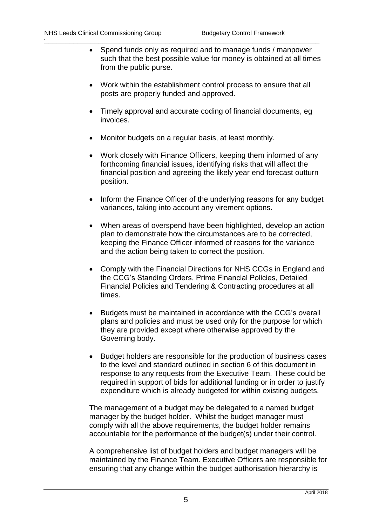- Spend funds only as required and to manage funds / manpower such that the best possible value for money is obtained at all times from the public purse.
- Work within the establishment control process to ensure that all posts are properly funded and approved.
- Timely approval and accurate coding of financial documents, eg invoices.
- Monitor budgets on a regular basis, at least monthly.

**\_\_\_\_\_\_\_\_\_\_\_\_\_\_\_\_\_\_\_\_\_\_\_\_\_\_\_\_\_\_\_\_\_\_\_\_\_\_\_\_\_\_\_\_\_\_\_\_\_\_\_\_\_\_\_\_\_\_\_\_\_\_\_\_\_\_**

- Work closely with Finance Officers, keeping them informed of any forthcoming financial issues, identifying risks that will affect the financial position and agreeing the likely year end forecast outturn position.
- Inform the Finance Officer of the underlying reasons for any budget variances, taking into account any virement options.
- When areas of overspend have been highlighted, develop an action plan to demonstrate how the circumstances are to be corrected, keeping the Finance Officer informed of reasons for the variance and the action being taken to correct the position.
- Comply with the Financial Directions for NHS CCGs in England and the CCG's Standing Orders, Prime Financial Policies, Detailed Financial Policies and Tendering & Contracting procedures at all times.
- Budgets must be maintained in accordance with the CCG's overall plans and policies and must be used only for the purpose for which they are provided except where otherwise approved by the Governing body.
- Budget holders are responsible for the production of business cases to the level and standard outlined in section 6 of this document in response to any requests from the Executive Team. These could be required in support of bids for additional funding or in order to justify expenditure which is already budgeted for within existing budgets.

The management of a budget may be delegated to a named budget manager by the budget holder. Whilst the budget manager must comply with all the above requirements, the budget holder remains accountable for the performance of the budget(s) under their control.

A comprehensive list of budget holders and budget managers will be maintained by the Finance Team. Executive Officers are responsible for ensuring that any change within the budget authorisation hierarchy is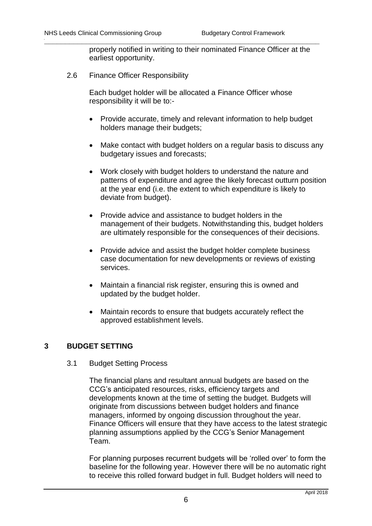properly notified in writing to their nominated Finance Officer at the earliest opportunity.

<span id="page-6-0"></span>2.6 Finance Officer Responsibility

Each budget holder will be allocated a Finance Officer whose responsibility it will be to:-

**\_\_\_\_\_\_\_\_\_\_\_\_\_\_\_\_\_\_\_\_\_\_\_\_\_\_\_\_\_\_\_\_\_\_\_\_\_\_\_\_\_\_\_\_\_\_\_\_\_\_\_\_\_\_\_\_\_\_\_\_\_\_\_\_\_\_**

- Provide accurate, timely and relevant information to help budget holders manage their budgets;
- Make contact with budget holders on a regular basis to discuss any budgetary issues and forecasts;
- Work closely with budget holders to understand the nature and patterns of expenditure and agree the likely forecast outturn position at the year end (i.e. the extent to which expenditure is likely to deviate from budget).
- Provide advice and assistance to budget holders in the management of their budgets. Notwithstanding this, budget holders are ultimately responsible for the consequences of their decisions.
- Provide advice and assist the budget holder complete business case documentation for new developments or reviews of existing services.
- Maintain a financial risk register, ensuring this is owned and updated by the budget holder.
- Maintain records to ensure that budgets accurately reflect the approved establishment levels.

## <span id="page-6-1"></span>**3 BUDGET SETTING**

#### <span id="page-6-2"></span>3.1 Budget Setting Process

The financial plans and resultant annual budgets are based on the CCG's anticipated resources, risks, efficiency targets and developments known at the time of setting the budget. Budgets will originate from discussions between budget holders and finance managers, informed by ongoing discussion throughout the year. Finance Officers will ensure that they have access to the latest strategic planning assumptions applied by the CCG's Senior Management Team.

For planning purposes recurrent budgets will be 'rolled over' to form the baseline for the following year. However there will be no automatic right to receive this rolled forward budget in full. Budget holders will need to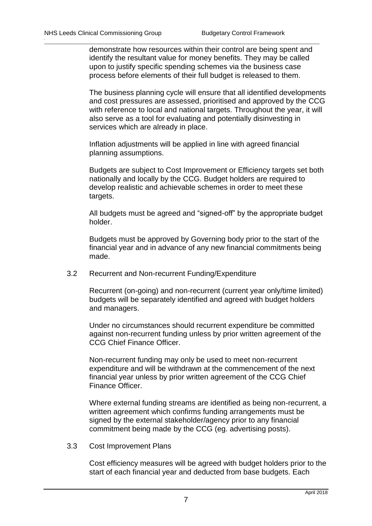demonstrate how resources within their control are being spent and identify the resultant value for money benefits. They may be called upon to justify specific spending schemes via the business case process before elements of their full budget is released to them.

**\_\_\_\_\_\_\_\_\_\_\_\_\_\_\_\_\_\_\_\_\_\_\_\_\_\_\_\_\_\_\_\_\_\_\_\_\_\_\_\_\_\_\_\_\_\_\_\_\_\_\_\_\_\_\_\_\_\_\_\_\_\_\_\_\_\_**

The business planning cycle will ensure that all identified developments and cost pressures are assessed, prioritised and approved by the CCG with reference to local and national targets. Throughout the year, it will also serve as a tool for evaluating and potentially disinvesting in services which are already in place.

Inflation adjustments will be applied in line with agreed financial planning assumptions.

Budgets are subject to Cost Improvement or Efficiency targets set both nationally and locally by the CCG. Budget holders are required to develop realistic and achievable schemes in order to meet these targets.

All budgets must be agreed and "signed-off" by the appropriate budget holder.

Budgets must be approved by Governing body prior to the start of the financial year and in advance of any new financial commitments being made.

<span id="page-7-0"></span>3.2 Recurrent and Non-recurrent Funding/Expenditure

Recurrent (on-going) and non-recurrent (current year only/time limited) budgets will be separately identified and agreed with budget holders and managers.

Under no circumstances should recurrent expenditure be committed against non-recurrent funding unless by prior written agreement of the CCG Chief Finance Officer.

Non-recurrent funding may only be used to meet non-recurrent expenditure and will be withdrawn at the commencement of the next financial year unless by prior written agreement of the CCG Chief Finance Officer.

Where external funding streams are identified as being non-recurrent, a written agreement which confirms funding arrangements must be signed by the external stakeholder/agency prior to any financial commitment being made by the CCG (eg. advertising posts).

<span id="page-7-1"></span>3.3 Cost Improvement Plans

Cost efficiency measures will be agreed with budget holders prior to the start of each financial year and deducted from base budgets. Each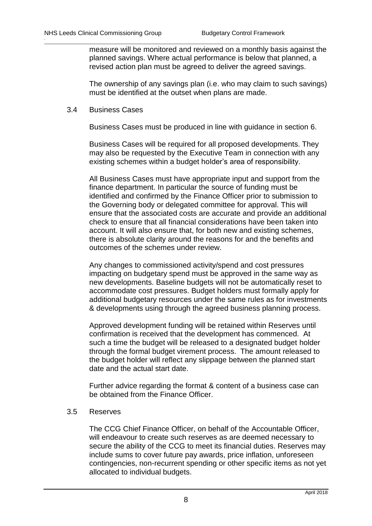measure will be monitored and reviewed on a monthly basis against the planned savings. Where actual performance is below that planned, a revised action plan must be agreed to deliver the agreed savings.

**\_\_\_\_\_\_\_\_\_\_\_\_\_\_\_\_\_\_\_\_\_\_\_\_\_\_\_\_\_\_\_\_\_\_\_\_\_\_\_\_\_\_\_\_\_\_\_\_\_\_\_\_\_\_\_\_\_\_\_\_\_\_\_\_\_\_**

The ownership of any savings plan (i.e. who may claim to such savings) must be identified at the outset when plans are made.

#### <span id="page-8-0"></span>3.4 Business Cases

Business Cases must be produced in line with guidance in section 6.

Business Cases will be required for all proposed developments. They may also be requested by the Executive Team in connection with any existing schemes within a budget holder's area of responsibility.

All Business Cases must have appropriate input and support from the finance department. In particular the source of funding must be identified and confirmed by the Finance Officer prior to submission to the Governing body or delegated committee for approval. This will ensure that the associated costs are accurate and provide an additional check to ensure that all financial considerations have been taken into account. It will also ensure that, for both new and existing schemes, there is absolute clarity around the reasons for and the benefits and outcomes of the schemes under review.

Any changes to commissioned activity/spend and cost pressures impacting on budgetary spend must be approved in the same way as new developments. Baseline budgets will not be automatically reset to accommodate cost pressures. Budget holders must formally apply for additional budgetary resources under the same rules as for investments & developments using through the agreed business planning process.

Approved development funding will be retained within Reserves until confirmation is received that the development has commenced. At such a time the budget will be released to a designated budget holder through the formal budget virement process. The amount released to the budget holder will reflect any slippage between the planned start date and the actual start date.

Further advice regarding the format & content of a business case can be obtained from the Finance Officer.

## <span id="page-8-1"></span>3.5 Reserves

The CCG Chief Finance Officer, on behalf of the Accountable Officer, will endeavour to create such reserves as are deemed necessary to secure the ability of the CCG to meet its financial duties. Reserves may include sums to cover future pay awards, price inflation, unforeseen contingencies, non-recurrent spending or other specific items as not yet allocated to individual budgets.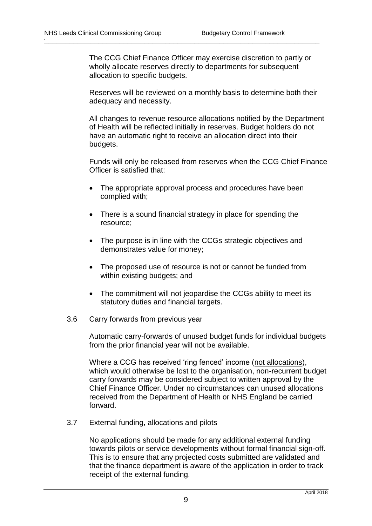The CCG Chief Finance Officer may exercise discretion to partly or wholly allocate reserves directly to departments for subsequent allocation to specific budgets.

**\_\_\_\_\_\_\_\_\_\_\_\_\_\_\_\_\_\_\_\_\_\_\_\_\_\_\_\_\_\_\_\_\_\_\_\_\_\_\_\_\_\_\_\_\_\_\_\_\_\_\_\_\_\_\_\_\_\_\_\_\_\_\_\_\_\_**

Reserves will be reviewed on a monthly basis to determine both their adequacy and necessity.

All changes to revenue resource allocations notified by the Department of Health will be reflected initially in reserves. Budget holders do not have an automatic right to receive an allocation direct into their budgets.

Funds will only be released from reserves when the CCG Chief Finance Officer is satisfied that:

- The appropriate approval process and procedures have been complied with;
- There is a sound financial strategy in place for spending the resource;
- The purpose is in line with the CCGs strategic objectives and demonstrates value for money;
- The proposed use of resource is not or cannot be funded from within existing budgets; and
- The commitment will not jeopardise the CCGs ability to meet its statutory duties and financial targets.
- <span id="page-9-0"></span>3.6 Carry forwards from previous year

Automatic carry-forwards of unused budget funds for individual budgets from the prior financial year will not be available.

Where a CCG has received 'ring fenced' income (not allocations), which would otherwise be lost to the organisation, non-recurrent budget carry forwards may be considered subject to written approval by the Chief Finance Officer. Under no circumstances can unused allocations received from the Department of Health or NHS England be carried forward.

<span id="page-9-1"></span>3.7 External funding, allocations and pilots

No applications should be made for any additional external funding towards pilots or service developments without formal financial sign-off. This is to ensure that any projected costs submitted are validated and that the finance department is aware of the application in order to track receipt of the external funding.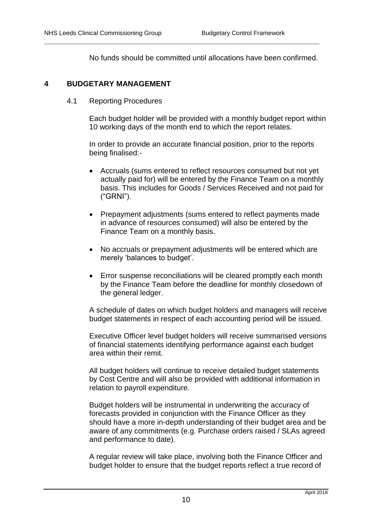No funds should be committed until allocations have been confirmed.

**\_\_\_\_\_\_\_\_\_\_\_\_\_\_\_\_\_\_\_\_\_\_\_\_\_\_\_\_\_\_\_\_\_\_\_\_\_\_\_\_\_\_\_\_\_\_\_\_\_\_\_\_\_\_\_\_\_\_\_\_\_\_\_\_\_\_**

## <span id="page-10-0"></span>**4 BUDGETARY MANAGEMENT**

## <span id="page-10-1"></span>4.1 Reporting Procedures

Each budget holder will be provided with a monthly budget report within 10 working days of the month end to which the report relates.

In order to provide an accurate financial position, prior to the reports being finalised:-

- Accruals (sums entered to reflect resources consumed but not yet actually paid for) will be entered by the Finance Team on a monthly basis. This includes for Goods / Services Received and not paid for ("GRNI").
- Prepayment adjustments (sums entered to reflect payments made in advance of resources consumed) will also be entered by the Finance Team on a monthly basis.
- No accruals or prepayment adjustments will be entered which are merely 'balances to budget'.
- Error suspense reconciliations will be cleared promptly each month by the Finance Team before the deadline for monthly closedown of the general ledger.

A schedule of dates on which budget holders and managers will receive budget statements in respect of each accounting period will be issued.

Executive Officer level budget holders will receive summarised versions of financial statements identifying performance against each budget area within their remit.

All budget holders will continue to receive detailed budget statements by Cost Centre and will also be provided with additional information in relation to payroll expenditure.

Budget holders will be instrumental in underwriting the accuracy of forecasts provided in conjunction with the Finance Officer as they should have a more in-depth understanding of their budget area and be aware of any commitments (e.g. Purchase orders raised / SLAs agreed and performance to date).

A regular review will take place, involving both the Finance Officer and budget holder to ensure that the budget reports reflect a true record of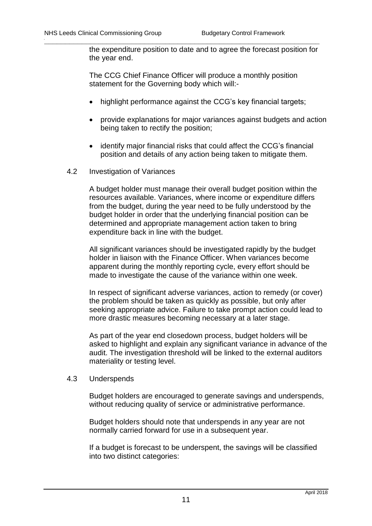the expenditure position to date and to agree the forecast position for the year end.

The CCG Chief Finance Officer will produce a monthly position statement for the Governing body which will:-

**\_\_\_\_\_\_\_\_\_\_\_\_\_\_\_\_\_\_\_\_\_\_\_\_\_\_\_\_\_\_\_\_\_\_\_\_\_\_\_\_\_\_\_\_\_\_\_\_\_\_\_\_\_\_\_\_\_\_\_\_\_\_\_\_\_\_**

- highlight performance against the CCG's key financial targets;
- provide explanations for major variances against budgets and action being taken to rectify the position;
- identify major financial risks that could affect the CCG's financial position and details of any action being taken to mitigate them.
- <span id="page-11-0"></span>4.2 Investigation of Variances

A budget holder must manage their overall budget position within the resources available. Variances, where income or expenditure differs from the budget, during the year need to be fully understood by the budget holder in order that the underlying financial position can be determined and appropriate management action taken to bring expenditure back in line with the budget.

All significant variances should be investigated rapidly by the budget holder in liaison with the Finance Officer. When variances become apparent during the monthly reporting cycle, every effort should be made to investigate the cause of the variance within one week.

In respect of significant adverse variances, action to remedy (or cover) the problem should be taken as quickly as possible, but only after seeking appropriate advice. Failure to take prompt action could lead to more drastic measures becoming necessary at a later stage.

As part of the year end closedown process, budget holders will be asked to highlight and explain any significant variance in advance of the audit. The investigation threshold will be linked to the external auditors materiality or testing level.

## <span id="page-11-1"></span>4.3 Underspends

Budget holders are encouraged to generate savings and underspends, without reducing quality of service or administrative performance.

Budget holders should note that underspends in any year are not normally carried forward for use in a subsequent year.

If a budget is forecast to be underspent, the savings will be classified into two distinct categories: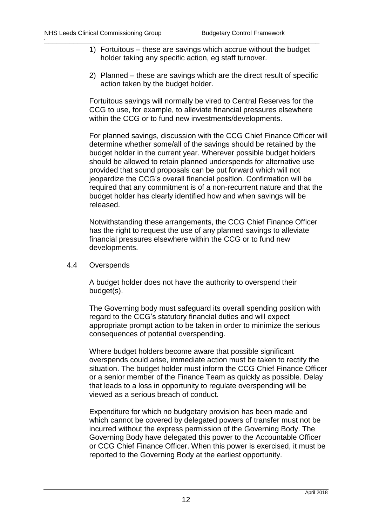1) Fortuitous – these are savings which accrue without the budget holder taking any specific action, eg staff turnover.

**\_\_\_\_\_\_\_\_\_\_\_\_\_\_\_\_\_\_\_\_\_\_\_\_\_\_\_\_\_\_\_\_\_\_\_\_\_\_\_\_\_\_\_\_\_\_\_\_\_\_\_\_\_\_\_\_\_\_\_\_\_\_\_\_\_\_**

2) Planned – these are savings which are the direct result of specific action taken by the budget holder.

Fortuitous savings will normally be vired to Central Reserves for the CCG to use, for example, to alleviate financial pressures elsewhere within the CCG or to fund new investments/developments.

For planned savings, discussion with the CCG Chief Finance Officer will determine whether some/all of the savings should be retained by the budget holder in the current year. Wherever possible budget holders should be allowed to retain planned underspends for alternative use provided that sound proposals can be put forward which will not jeopardize the CCG's overall financial position. Confirmation will be required that any commitment is of a non-recurrent nature and that the budget holder has clearly identified how and when savings will be released.

Notwithstanding these arrangements, the CCG Chief Finance Officer has the right to request the use of any planned savings to alleviate financial pressures elsewhere within the CCG or to fund new developments.

<span id="page-12-0"></span>4.4 Overspends

A budget holder does not have the authority to overspend their budget(s).

The Governing body must safeguard its overall spending position with regard to the CCG's statutory financial duties and will expect appropriate prompt action to be taken in order to minimize the serious consequences of potential overspending.

Where budget holders become aware that possible significant overspends could arise, immediate action must be taken to rectify the situation. The budget holder must inform the CCG Chief Finance Officer or a senior member of the Finance Team as quickly as possible. Delay that leads to a loss in opportunity to regulate overspending will be viewed as a serious breach of conduct.

Expenditure for which no budgetary provision has been made and which cannot be covered by delegated powers of transfer must not be incurred without the express permission of the Governing Body. The Governing Body have delegated this power to the Accountable Officer or CCG Chief Finance Officer. When this power is exercised, it must be reported to the Governing Body at the earliest opportunity.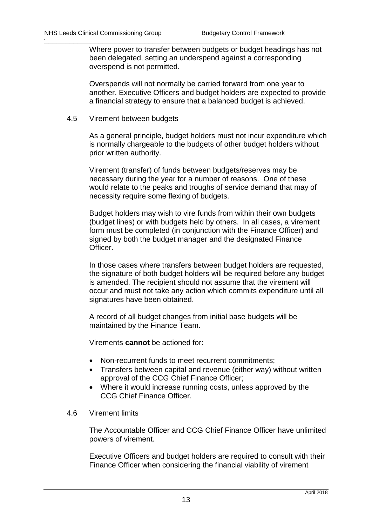Where power to transfer between budgets or budget headings has not been delegated, setting an underspend against a corresponding overspend is not permitted.

**\_\_\_\_\_\_\_\_\_\_\_\_\_\_\_\_\_\_\_\_\_\_\_\_\_\_\_\_\_\_\_\_\_\_\_\_\_\_\_\_\_\_\_\_\_\_\_\_\_\_\_\_\_\_\_\_\_\_\_\_\_\_\_\_\_\_**

Overspends will not normally be carried forward from one year to another. Executive Officers and budget holders are expected to provide a financial strategy to ensure that a balanced budget is achieved.

<span id="page-13-0"></span>4.5 Virement between budgets

As a general principle, budget holders must not incur expenditure which is normally chargeable to the budgets of other budget holders without prior written authority.

Virement (transfer) of funds between budgets/reserves may be necessary during the year for a number of reasons. One of these would relate to the peaks and troughs of service demand that may of necessity require some flexing of budgets.

Budget holders may wish to vire funds from within their own budgets (budget lines) or with budgets held by others. In all cases, a virement form must be completed (in conjunction with the Finance Officer) and signed by both the budget manager and the designated Finance Officer.

In those cases where transfers between budget holders are requested, the signature of both budget holders will be required before any budget is amended. The recipient should not assume that the virement will occur and must not take any action which commits expenditure until all signatures have been obtained.

A record of all budget changes from initial base budgets will be maintained by the Finance Team.

Virements **cannot** be actioned for:

- Non-recurrent funds to meet recurrent commitments;
- Transfers between capital and revenue (either way) without written approval of the CCG Chief Finance Officer;
- Where it would increase running costs, unless approved by the CCG Chief Finance Officer.

## <span id="page-13-1"></span>4.6 Virement limits

The Accountable Officer and CCG Chief Finance Officer have unlimited powers of virement.

Executive Officers and budget holders are required to consult with their Finance Officer when considering the financial viability of virement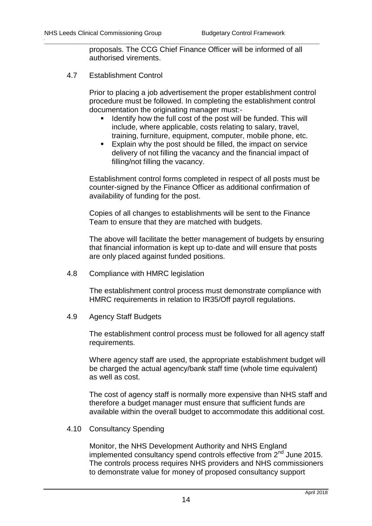proposals. The CCG Chief Finance Officer will be informed of all authorised virements.

**\_\_\_\_\_\_\_\_\_\_\_\_\_\_\_\_\_\_\_\_\_\_\_\_\_\_\_\_\_\_\_\_\_\_\_\_\_\_\_\_\_\_\_\_\_\_\_\_\_\_\_\_\_\_\_\_\_\_\_\_\_\_\_\_\_\_**

<span id="page-14-0"></span>4.7 Establishment Control

Prior to placing a job advertisement the proper establishment control procedure must be followed. In completing the establishment control documentation the originating manager must:-

- Identify how the full cost of the post will be funded. This will include, where applicable, costs relating to salary, travel, training, furniture, equipment, computer, mobile phone, etc.
- **Explain why the post should be filled, the impact on service** delivery of not filling the vacancy and the financial impact of filling/not filling the vacancy.

Establishment control forms completed in respect of all posts must be counter-signed by the Finance Officer as additional confirmation of availability of funding for the post.

Copies of all changes to establishments will be sent to the Finance Team to ensure that they are matched with budgets.

The above will facilitate the better management of budgets by ensuring that financial information is kept up to-date and will ensure that posts are only placed against funded positions.

<span id="page-14-1"></span>4.8 Compliance with HMRC legislation

The establishment control process must demonstrate compliance with HMRC requirements in relation to IR35/Off payroll regulations.

<span id="page-14-2"></span>4.9 Agency Staff Budgets

The establishment control process must be followed for all agency staff requirements.

Where agency staff are used, the appropriate establishment budget will be charged the actual agency/bank staff time (whole time equivalent) as well as cost.

The cost of agency staff is normally more expensive than NHS staff and therefore a budget manager must ensure that sufficient funds are available within the overall budget to accommodate this additional cost.

## <span id="page-14-3"></span>4.10 Consultancy Spending

Monitor, the NHS Development Authority and NHS England implemented consultancy spend controls effective from  $2^{nd}$  June 2015. The controls process requires NHS providers and NHS commissioners to demonstrate value for money of proposed consultancy support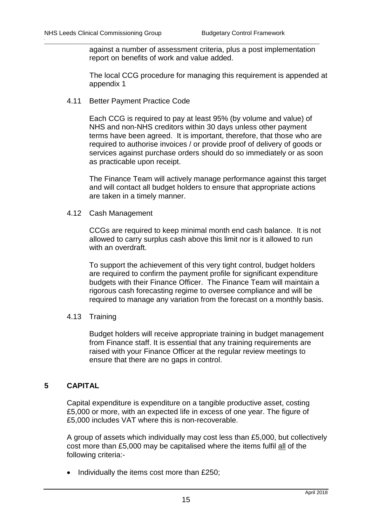against a number of assessment criteria, plus a post implementation report on benefits of work and value added.

**\_\_\_\_\_\_\_\_\_\_\_\_\_\_\_\_\_\_\_\_\_\_\_\_\_\_\_\_\_\_\_\_\_\_\_\_\_\_\_\_\_\_\_\_\_\_\_\_\_\_\_\_\_\_\_\_\_\_\_\_\_\_\_\_\_\_**

The local CCG procedure for managing this requirement is appended at appendix 1

<span id="page-15-0"></span>4.11 Better Payment Practice Code

Each CCG is required to pay at least 95% (by volume and value) of NHS and non-NHS creditors within 30 days unless other payment terms have been agreed. It is important, therefore, that those who are required to authorise invoices / or provide proof of delivery of goods or services against purchase orders should do so immediately or as soon as practicable upon receipt.

The Finance Team will actively manage performance against this target and will contact all budget holders to ensure that appropriate actions are taken in a timely manner.

<span id="page-15-1"></span>4.12 Cash Management

CCGs are required to keep minimal month end cash balance. It is not allowed to carry surplus cash above this limit nor is it allowed to run with an overdraft.

To support the achievement of this very tight control, budget holders are required to confirm the payment profile for significant expenditure budgets with their Finance Officer. The Finance Team will maintain a rigorous cash forecasting regime to oversee compliance and will be required to manage any variation from the forecast on a monthly basis.

<span id="page-15-2"></span>4.13 Training

Budget holders will receive appropriate training in budget management from Finance staff. It is essential that any training requirements are raised with your Finance Officer at the regular review meetings to ensure that there are no gaps in control.

## <span id="page-15-3"></span>**5 CAPITAL**

Capital expenditure is expenditure on a tangible productive asset, costing £5,000 or more, with an expected life in excess of one year. The figure of £5,000 includes VAT where this is non-recoverable.

A group of assets which individually may cost less than £5,000, but collectively cost more than £5,000 may be capitalised where the items fulfil all of the following criteria:-

 $\bullet$  Individually the items cost more than £250;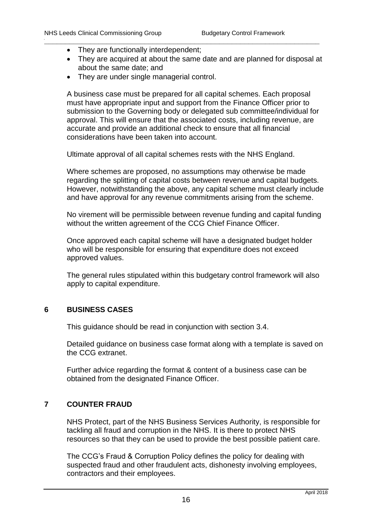- They are functionally interdependent;
- They are acquired at about the same date and are planned for disposal at about the same date; and

**\_\_\_\_\_\_\_\_\_\_\_\_\_\_\_\_\_\_\_\_\_\_\_\_\_\_\_\_\_\_\_\_\_\_\_\_\_\_\_\_\_\_\_\_\_\_\_\_\_\_\_\_\_\_\_\_\_\_\_\_\_\_\_\_\_\_**

• They are under single managerial control.

A business case must be prepared for all capital schemes. Each proposal must have appropriate input and support from the Finance Officer prior to submission to the Governing body or delegated sub committee/individual for approval. This will ensure that the associated costs, including revenue, are accurate and provide an additional check to ensure that all financial considerations have been taken into account.

Ultimate approval of all capital schemes rests with the NHS England.

Where schemes are proposed, no assumptions may otherwise be made regarding the splitting of capital costs between revenue and capital budgets. However, notwithstanding the above, any capital scheme must clearly include and have approval for any revenue commitments arising from the scheme.

No virement will be permissible between revenue funding and capital funding without the written agreement of the CCG Chief Finance Officer.

Once approved each capital scheme will have a designated budget holder who will be responsible for ensuring that expenditure does not exceed approved values.

The general rules stipulated within this budgetary control framework will also apply to capital expenditure.

## <span id="page-16-0"></span>**6 BUSINESS CASES**

This guidance should be read in conjunction with section 3.4.

Detailed guidance on business case format along with a template is saved on the CCG extranet.

Further advice regarding the format & content of a business case can be obtained from the designated Finance Officer.

## <span id="page-16-1"></span>**7 COUNTER FRAUD**

NHS Protect, part of the NHS Business Services Authority, is responsible for tackling all fraud and corruption in the NHS. It is there to protect NHS resources so that they can be used to provide the best possible patient care.

The CCG's Fraud & Corruption Policy defines the policy for dealing with suspected fraud and other fraudulent acts, dishonesty involving employees, contractors and their employees.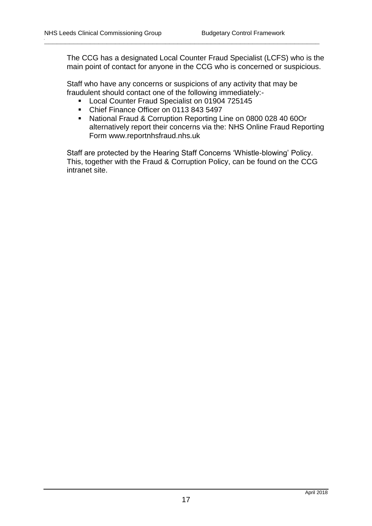The CCG has a designated Local Counter Fraud Specialist (LCFS) who is the main point of contact for anyone in the CCG who is concerned or suspicious.

Staff who have any concerns or suspicions of any activity that may be fraudulent should contact one of the following immediately:-

**\_\_\_\_\_\_\_\_\_\_\_\_\_\_\_\_\_\_\_\_\_\_\_\_\_\_\_\_\_\_\_\_\_\_\_\_\_\_\_\_\_\_\_\_\_\_\_\_\_\_\_\_\_\_\_\_\_\_\_\_\_\_\_\_\_\_**

- **Local Counter Fraud Specialist on 01904 725145**
- Chief Finance Officer on 0113 843 5497
- National Fraud & Corruption Reporting Line on 0800 028 40 60Or alternatively report their concerns via the: NHS Online Fraud Reporting Form www.reportnhsfraud.nhs.uk

Staff are protected by the Hearing Staff Concerns 'Whistle-blowing' Policy. This, together with the Fraud & Corruption Policy, can be found on the CCG intranet site.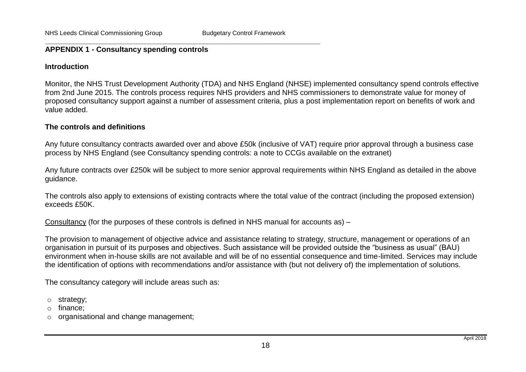#### **\_\_\_\_\_\_\_\_\_\_\_\_\_\_\_\_\_\_\_\_\_\_\_\_\_\_\_\_\_\_\_\_\_\_\_\_\_\_\_\_\_\_\_\_\_\_\_\_\_\_\_\_\_\_\_\_\_\_\_\_\_\_\_\_\_\_ APPENDIX 1 - Consultancy spending controls**

#### **Introduction**

Monitor, the NHS Trust Development Authority (TDA) and NHS England (NHSE) implemented consultancy spend controls effective from 2nd June 2015. The controls process requires NHS providers and NHS commissioners to demonstrate value for money of proposed consultancy support against a number of assessment criteria, plus a post implementation report on benefits of work and value added.

#### **The controls and definitions**

Any future consultancy contracts awarded over and above £50k (inclusive of VAT) require prior approval through a business case process by NHS England (see Consultancy spending controls: a note to CCGs available on the extranet)

Any future contracts over £250k will be subject to more senior approval requirements within NHS England as detailed in the above guidance.

<span id="page-18-0"></span>The controls also apply to extensions of existing contracts where the total value of the contract (including the proposed extension) exceeds £50K.

Consultancy (for the purposes of these controls is defined in NHS manual for accounts as) –

The provision to management of objective advice and assistance relating to strategy, structure, management or operations of an organisation in pursuit of its purposes and objectives. Such assistance will be provided outside the "business as usual" (BAU) environment when in-house skills are not available and will be of no essential consequence and time-limited. Services may include the identification of options with recommendations and/or assistance with (but not delivery of) the implementation of solutions.

The consultancy category will include areas such as:

o strategy;

o finance;

o organisational and change management;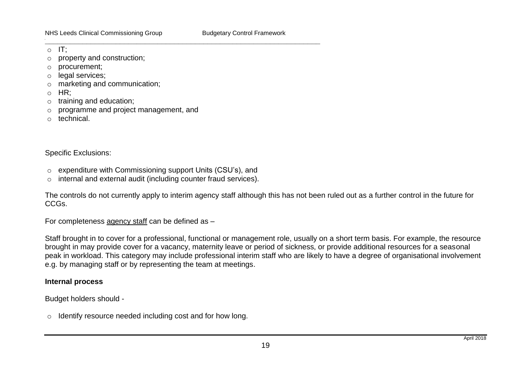$\circ$  IT:

- o property and construction;
- o procurement;
- o legal services;
- o marketing and communication;
- o HR;
- o training and education;
- o programme and project management, and
- o technical.

Specific Exclusions:

o expenditure with Commissioning support Units (CSU's), and

**\_\_\_\_\_\_\_\_\_\_\_\_\_\_\_\_\_\_\_\_\_\_\_\_\_\_\_\_\_\_\_\_\_\_\_\_\_\_\_\_\_\_\_\_\_\_\_\_\_\_\_\_\_\_\_\_\_\_\_\_\_\_\_\_\_\_**

o internal and external audit (including counter fraud services).

The controls do not currently apply to interim agency staff although this has not been ruled out as a further control in the future for CCGs.

For completeness agency staff can be defined as –

Staff brought in to cover for a professional, functional or management role, usually on a short term basis. For example, the resource brought in may provide cover for a vacancy, maternity leave or period of sickness, or provide additional resources for a seasonal peak in workload. This category may include professional interim staff who are likely to have a degree of organisational involvement e.g. by managing staff or by representing the team at meetings.

## **Internal process**

Budget holders should -

o Identify resource needed including cost and for how long.